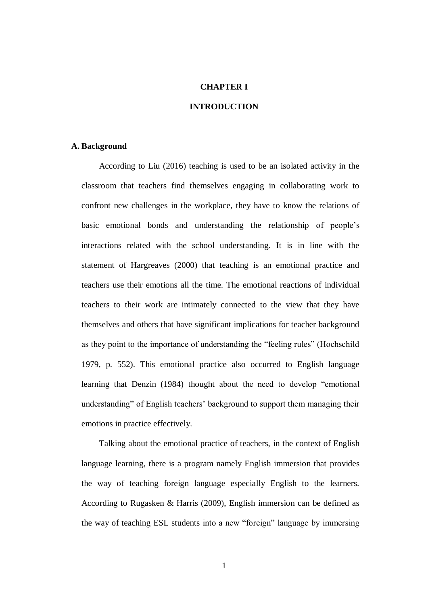## **CHAPTER I**

# **INTRODUCTION**

## **A. Background**

According to Liu (2016) teaching is used to be an isolated activity in the classroom that teachers find themselves engaging in collaborating work to confront new challenges in the workplace, they have to know the relations of basic emotional bonds and understanding the relationship of people's interactions related with the school understanding. It is in line with the statement of Hargreaves (2000) that teaching is an emotional practice and teachers use their emotions all the time. The emotional reactions of individual teachers to their work are intimately connected to the view that they have themselves and others that have significant implications for teacher background as they point to the importance of understanding the "feeling rules" (Hochschild 1979, p. 552). This emotional practice also occurred to English language learning that Denzin (1984) thought about the need to develop "emotional understanding" of English teachers' background to support them managing their emotions in practice effectively.

Talking about the emotional practice of teachers, in the context of English language learning, there is a program namely English immersion that provides the way of teaching foreign language especially English to the learners. According to Rugasken & Harris (2009), English immersion can be defined as the way of teaching ESL students into a new "foreign" language by immersing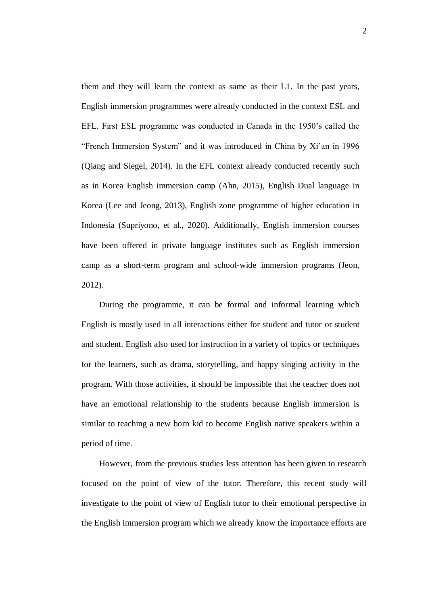them and they will learn the context as same as their L1. In the past years, English immersion programmes were already conducted in the context ESL and EFL. First ESL programme was conducted in Canada in the 1950's called the "French Immersion System" and it was introduced in China by Xi'an in 1996 (Qiang and Siegel, 2014). In the EFL context already conducted recently such as in Korea English immersion camp (Ahn, 2015), English Dual language in Korea (Lee and Jeong, 2013), English zone programme of higher education in Indonesia (Supriyono, et al., 2020). Additionally, English immersion courses have been offered in private language institutes such as English immersion camp as a short-term program and school-wide immersion programs (Jeon, 2012).

During the programme, it can be formal and informal learning which English is mostly used in all interactions either for student and tutor or student and student. English also used for instruction in a variety of topics or techniques for the learners, such as drama, storytelling, and happy singing activity in the program. With those activities, it should be impossible that the teacher does not have an emotional relationship to the students because English immersion is similar to teaching a new born kid to become English native speakers within a period of time.

However, from the previous studies less attention has been given to research focused on the point of view of the tutor. Therefore, this recent study will investigate to the point of view of English tutor to their emotional perspective in the English immersion program which we already know the importance efforts are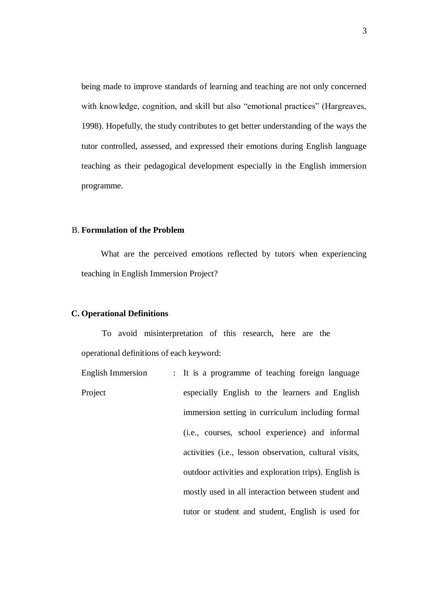being made to improve standards of learning and teaching are not only concerned with knowledge, cognition, and skill but also "emotional practices" (Hargreaves, 1998). Hopefully, the study contributes to get better understanding of the ways the tutor controlled, assessed, and expressed their emotions during English language teaching as their pedagogical development especially in the English immersion programme.

#### B. **Formulation of the Problem**

What are the perceived emotions reflected by tutors when experiencing teaching in English Immersion Project?

## **C. Operational Definitions**

To avoid misinterpretation of this research, here are the operational definitions of each keyword:

1. English Immersion Project : It is a programme of teaching foreign language especially English to the learners and English immersion setting in curriculum including formal (i.e., courses, school experience) and informal activities (i.e., lesson observation, cultural visits, outdoor activities and exploration trips). English is mostly used in all interaction between student and tutor or student and student, English is used for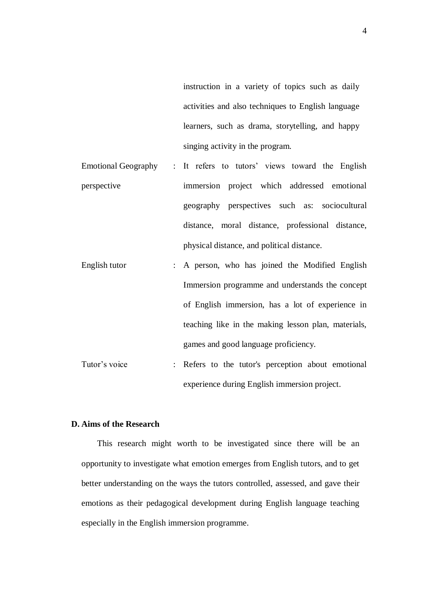instruction in a variety of topics such as daily activities and also techniques to English language learners, such as drama, storytelling, and happy singing activity in the program.

- **Emotional Geography** perspective : It refers to tutors' views toward the English immersion project which addressed emotional geography perspectives such as: sociocultural distance, moral distance, professional distance, physical distance, and political distance.
- 3. English tutor : A person, who has joined the Modified English Immersion programme and understands the concept of English immersion, has a lot of experience in teaching like in the making lesson plan, materials, games and good language proficiency.
- Tutor's voice : Refers to the tutor's perception about emotional experience during English immersion project.

# **D. Aims of the Research**

This research might worth to be investigated since there will be an opportunity to investigate what emotion emerges from English tutors, and to get better understanding on the ways the tutors controlled, assessed, and gave their emotions as their pedagogical development during English language teaching especially in the English immersion programme.